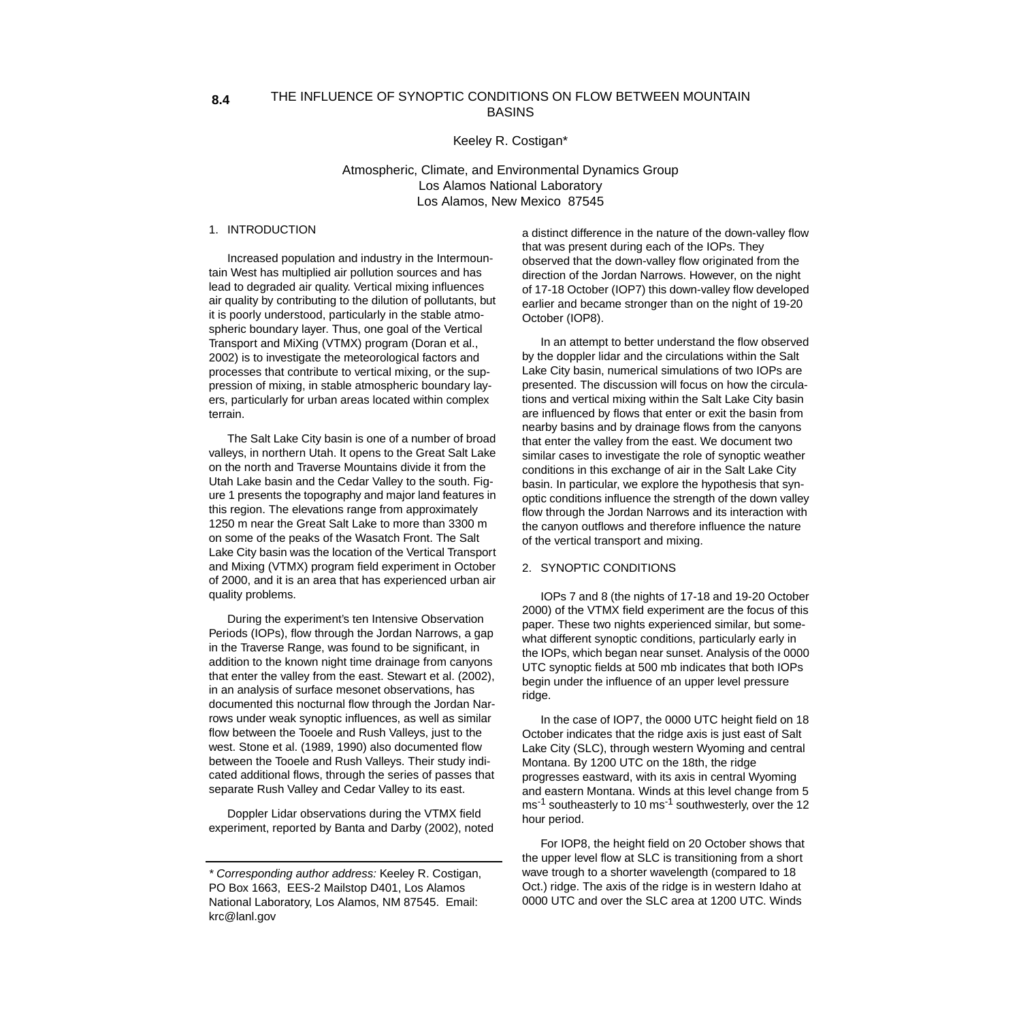#### THE INFLUENCE OF SYNOPTIC CONDITIONS ON FLOW BETWEEN MOUNTAIN BASINS **8.4**

Keeley R. Costigan\*

Atmospheric, Climate, and Environmental Dynamics Group Los Alamos National Laboratory Los Alamos, New Mexico 87545

## 1. INTRODUCTION

Increased population and industry in the Intermountain West has multiplied air pollution sources and has lead to degraded air quality. Vertical mixing influences air quality by contributing to the dilution of pollutants, but it is poorly understood, particularly in the stable atmospheric boundary layer. Thus, one goal of the Vertical Transport and MiXing (VTMX) program (Doran et al., 2002) is to investigate the meteorological factors and processes that contribute to vertical mixing, or the suppression of mixing, in stable atmospheric boundary layers, particularly for urban areas located within complex terrain.

The Salt Lake City basin is one of a number of broad valleys, in northern Utah. It opens to the Great Salt Lake on the north and Traverse Mountains divide it from the Utah Lake basin and the Cedar Valley to the south. Figure 1 presents the topography and major land features in this region. The elevations range from approximately 1250 m near the Great Salt Lake to more than 3300 m on some of the peaks of the Wasatch Front. The Salt Lake City basin was the location of the Vertical Transport and Mixing (VTMX) program field experiment in October of 2000, and it is an area that has experienced urban air quality problems.

During the experiment's ten Intensive Observation Periods (IOPs), flow through the Jordan Narrows, a gap in the Traverse Range, was found to be significant, in addition to the known night time drainage from canyons that enter the valley from the east. Stewart et al. (2002), in an analysis of surface mesonet observations, has documented this nocturnal flow through the Jordan Narrows under weak synoptic influences, as well as similar flow between the Tooele and Rush Valleys, just to the west. Stone et al. (1989, 1990) also documented flow between the Tooele and Rush Valleys. Their study indicated additional flows, through the series of passes that separate Rush Valley and Cedar Valley to its east.

Doppler Lidar observations during the VTMX field experiment, reported by Banta and Darby (2002), noted a distinct difference in the nature of the down-valley flow that was present during each of the IOPs. They observed that the down-valley flow originated from the direction of the Jordan Narrows. However, on the night of 17-18 October (IOP7) this down-valley flow developed earlier and became stronger than on the night of 19-20 October (IOP8).

In an attempt to better understand the flow observed by the doppler lidar and the circulations within the Salt Lake City basin, numerical simulations of two IOPs are presented. The discussion will focus on how the circulations and vertical mixing within the Salt Lake City basin are influenced by flows that enter or exit the basin from nearby basins and by drainage flows from the canyons that enter the valley from the east. We document two similar cases to investigate the role of synoptic weather conditions in this exchange of air in the Salt Lake City basin. In particular, we explore the hypothesis that synoptic conditions influence the strength of the down valley flow through the Jordan Narrows and its interaction with the canyon outflows and therefore influence the nature of the vertical transport and mixing.

## 2. SYNOPTIC CONDITIONS

IOPs 7 and 8 (the nights of 17-18 and 19-20 October 2000) of the VTMX field experiment are the focus of this paper. These two nights experienced similar, but somewhat different synoptic conditions, particularly early in the IOPs, which began near sunset. Analysis of the 0000 UTC synoptic fields at 500 mb indicates that both IOPs begin under the influence of an upper level pressure ridge.

In the case of IOP7, the 0000 UTC height field on 18 October indicates that the ridge axis is just east of Salt Lake City (SLC), through western Wyoming and central Montana. By 1200 UTC on the 18th, the ridge progresses eastward, with its axis in central Wyoming and eastern Montana. Winds at this level change from 5 ms<sup>-1</sup> southeasterly to 10 ms<sup>-1</sup> southwesterly, over the 12 hour period.

For IOP8, the height field on 20 October shows that the upper level flow at SLC is transitioning from a short wave trough to a shorter wavelength (compared to 18 Oct.) ridge. The axis of the ridge is in western Idaho at 0000 UTC and over the SLC area at 1200 UTC. Winds

<sup>\*</sup> Corresponding author address: Keeley R. Costigan, PO Box 1663, EES-2 Mailstop D401, Los Alamos National Laboratory, Los Alamos, NM 87545. Email: krc@lanl.gov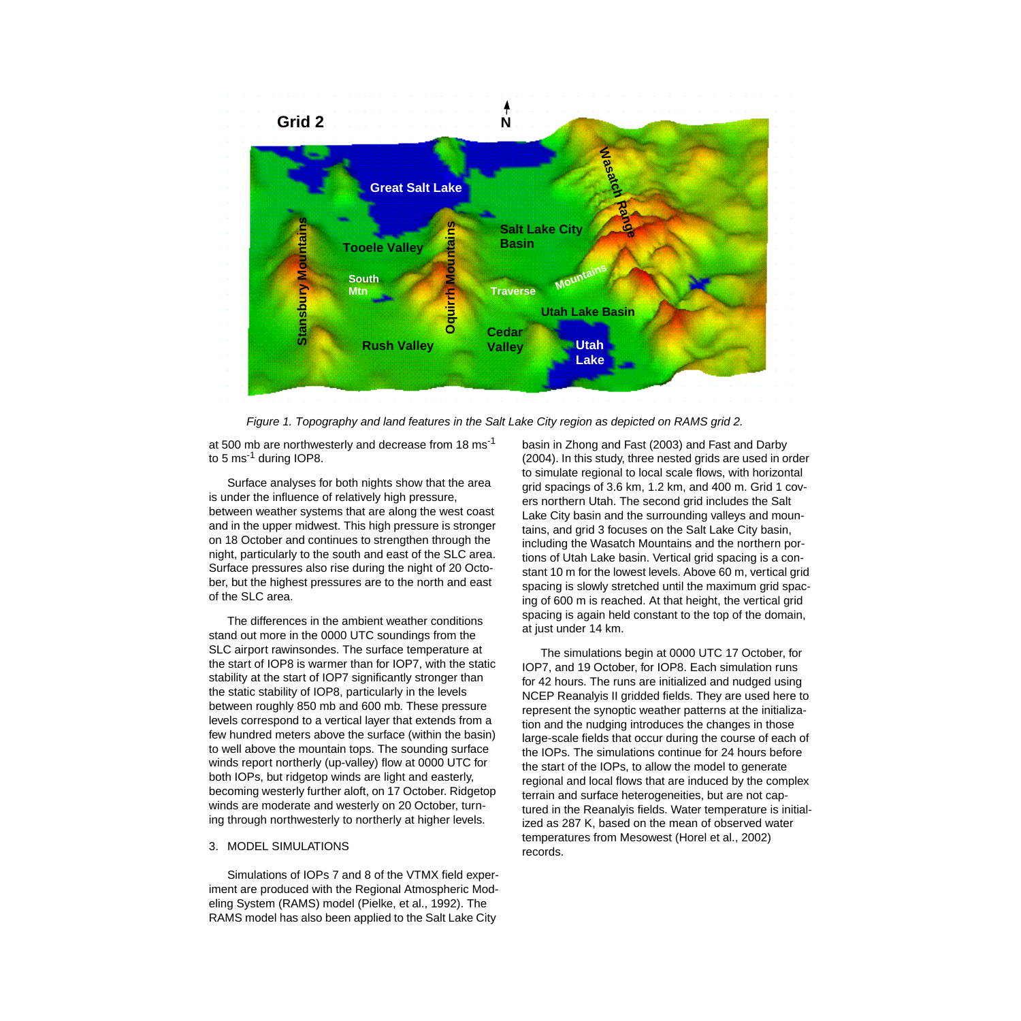

Figure 1. Topography and land features in the Salt Lake City region as depicted on RAMS grid 2.

at 500 mb are northwesterly and decrease from 18 ms<sup>-1</sup> to 5 ms<sup>-1</sup> during IOP8.

Surface analyses for both nights show that the area is under the influence of relatively high pressure, between weather systems that are along the west coast and in the upper midwest. This high pressure is stronger on 18 October and continues to strengthen through the night, particularly to the south and east of the SLC area. Surface pressures also rise during the night of 20 October, but the highest pressures are to the north and east of the SLC area.

The differences in the ambient weather conditions stand out more in the 0000 UTC soundings from the SLC airport rawinsondes. The surface temperature at the start of IOP8 is warmer than for IOP7, with the static stability at the start of IOP7 significantly stronger than the static stability of IOP8, particularly in the levels between roughly 850 mb and 600 mb. These pressure levels correspond to a vertical layer that extends from a few hundred meters above the surface (within the basin) to well above the mountain tops. The sounding surface winds report northerly (up-valley) flow at 0000 UTC for both IOPs, but ridgetop winds are light and easterly, becoming westerly further aloft, on 17 October. Ridgetop winds are moderate and westerly on 20 October, turning through northwesterly to northerly at higher levels.

### 3. MODEL SIMULATIONS

Simulations of IOPs 7 and 8 of the VTMX field experiment are produced with the Regional Atmospheric Modeling System (RAMS) model (Pielke, et al., 1992). The RAMS model has also been applied to the Salt Lake City

basin in Zhong and Fast (2003) and Fast and Darby (2004). In this study, three nested grids are used in order to simulate regional to local scale flows, with horizontal grid spacings of 3.6 km, 1.2 km, and 400 m. Grid 1 covers northern Utah. The second grid includes the Salt Lake City basin and the surrounding valleys and mountains, and grid 3 focuses on the Salt Lake City basin, including the Wasatch Mountains and the northern portions of Utah Lake basin. Vertical grid spacing is a constant 10 m for the lowest levels. Above 60 m, vertical grid spacing is slowly stretched until the maximum grid spacing of 600 m is reached. At that height, the vertical grid spacing is again held constant to the top of the domain, at just under 14 km.

The simulations begin at 0000 UTC 17 October, for IOP7, and 19 October, for IOP8. Each simulation runs for 42 hours. The runs are initialized and nudged using NCEP Reanalyis II gridded fields. They are used here to represent the synoptic weather patterns at the initialization and the nudging introduces the changes in those large-scale fields that occur during the course of each of the IOPs. The simulations continue for 24 hours before the start of the IOPs, to allow the model to generate regional and local flows that are induced by the complex terrain and surface heterogeneities, but are not captured in the Reanalyis fields. Water temperature is initialized as 287 K, based on the mean of observed water temperatures from Mesowest (Horel et al., 2002) records.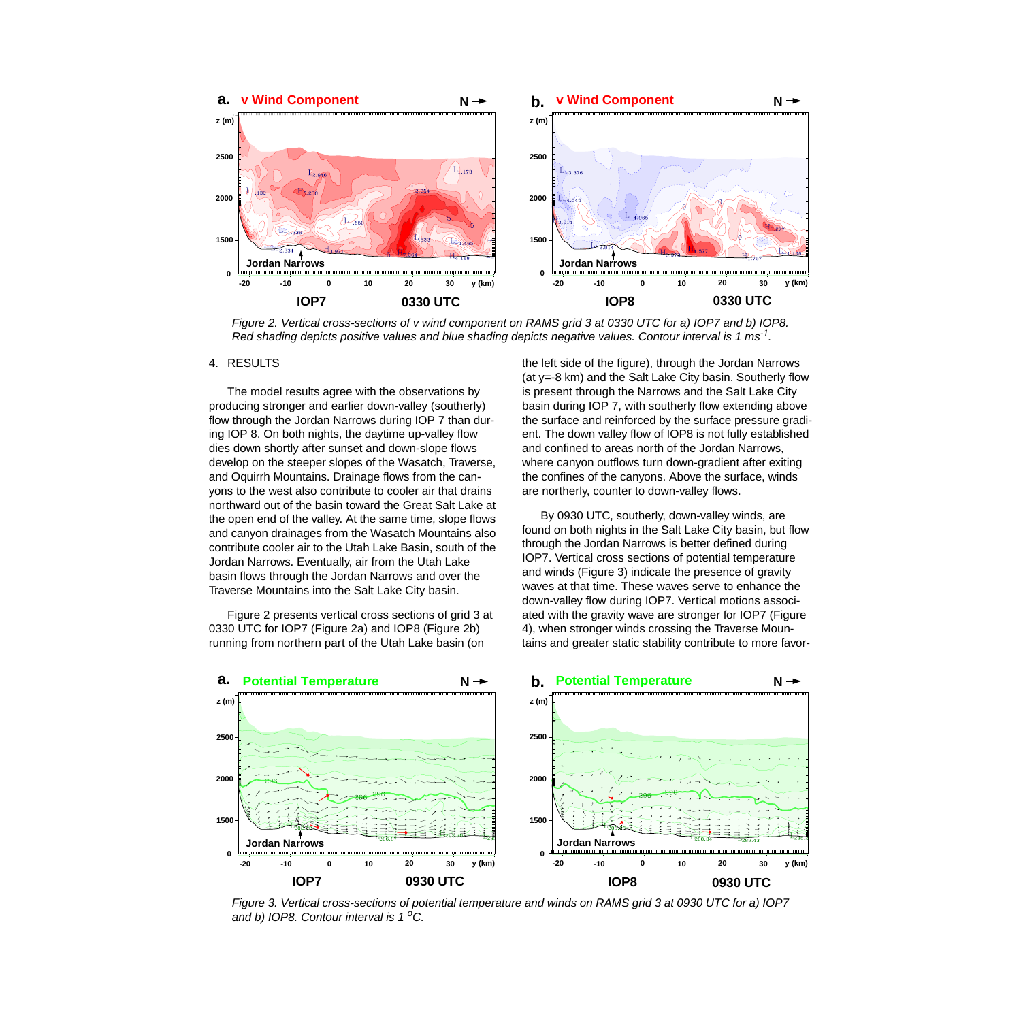

Figure 2. Vertical cross-sections of v wind component on RAMS grid 3 at 0330 UTC for a) IOP7 and b) IOP8. Red shading depicts positive values and blue shading depicts negative values. Contour interval is 1 ms<sup>-1</sup>.

#### 4. RESULTS

The model results agree with the observations by producing stronger and earlier down-valley (southerly) flow through the Jordan Narrows during IOP 7 than during IOP 8. On both nights, the daytime up-valley flow dies down shortly after sunset and down-slope flows develop on the steeper slopes of the Wasatch, Traverse, and Oquirrh Mountains. Drainage flows from the canyons to the west also contribute to cooler air that drains northward out of the basin toward the Great Salt Lake at the open end of the valley. At the same time, slope flows and canyon drainages from the Wasatch Mountains also contribute cooler air to the Utah Lake Basin, south of the Jordan Narrows. Eventually, air from the Utah Lake basin flows through the Jordan Narrows and over the Traverse Mountains into the Salt Lake City basin.

Figure 2 presents vertical cross sections of grid 3 at 0330 UTC for IOP7 (Figure 2a) and IOP8 (Figure 2b) running from northern part of the Utah Lake basin (on

the left side of the figure), through the Jordan Narrows (at y=-8 km) and the Salt Lake City basin. Southerly flow is present through the Narrows and the Salt Lake City basin during IOP 7, with southerly flow extending above the surface and reinforced by the surface pressure gradient. The down valley flow of IOP8 is not fully established and confined to areas north of the Jordan Narrows, where canyon outflows turn down-gradient after exiting the confines of the canyons. Above the surface, winds are northerly, counter to down-valley flows.

By 0930 UTC, southerly, down-valley winds, are found on both nights in the Salt Lake City basin, but flow through the Jordan Narrows is better defined during IOP7. Vertical cross sections of potential temperature and winds (Figure 3) indicate the presence of gravity waves at that time. These waves serve to enhance the down-valley flow during IOP7. Vertical motions associated with the gravity wave are stronger for IOP7 (Figure 4), when stronger winds crossing the Traverse Mountains and greater static stability contribute to more favor-



Figure 3. Vertical cross-sections of potential temperature and winds on RAMS grid 3 at 0930 UTC for a) IOP7 and b) IOP8. Contour interval is  $1^{\circ}$ C.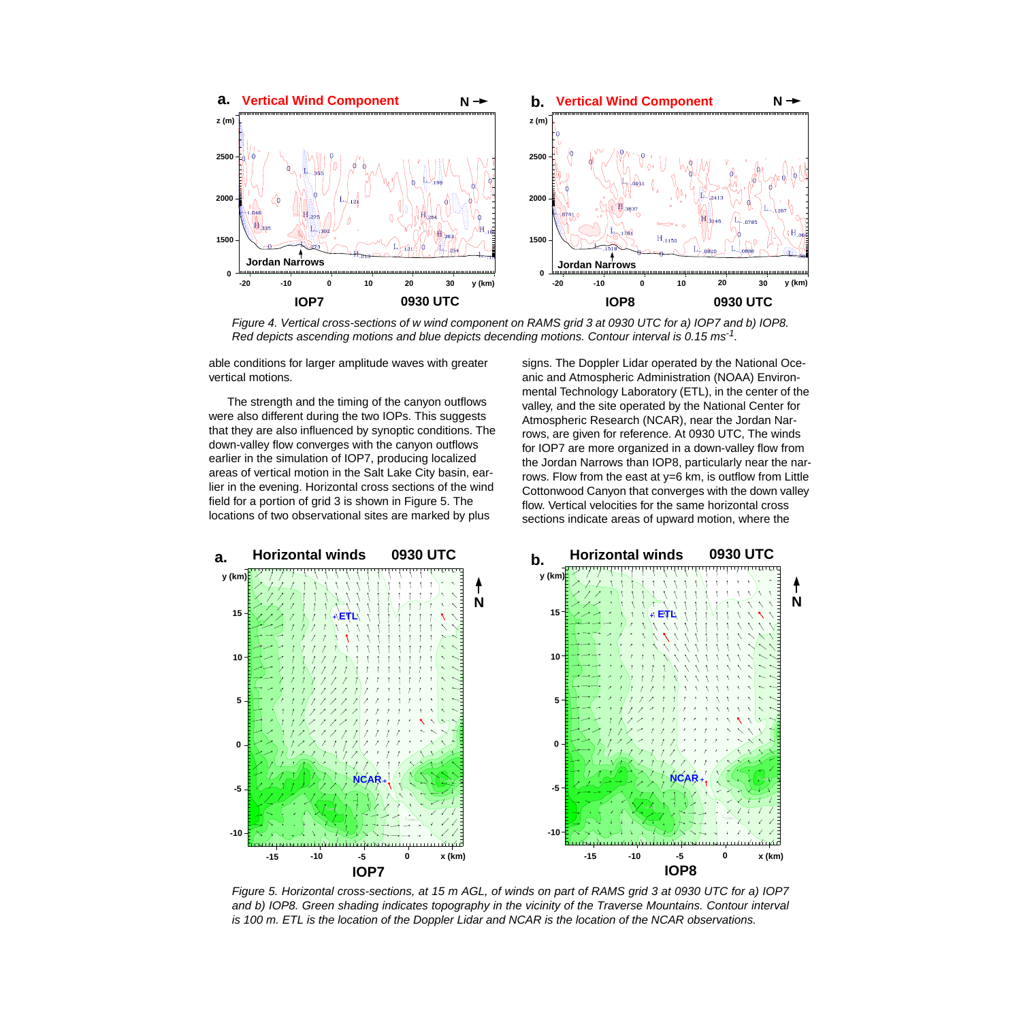

Figure 4. Vertical cross-sections of w wind component on RAMS grid 3 at 0930 UTC for a) IOP7 and b) IOP8. Red depicts ascending motions and blue depicts decending motions. Contour interval is 0.15 ms<sup>-1</sup>.

able conditions for larger amplitude waves with greater vertical motions.

The strength and the timing of the canyon outflows were also different during the two IOPs. This suggests that they are also influenced by synoptic conditions. The down-valley flow converges with the canyon outflows earlier in the simulation of IOP7, producing localized areas of vertical motion in the Salt Lake City basin, earlier in the evening. Horizontal cross sections of the wind field for a portion of grid 3 is shown in Figure 5. The locations of two observational sites are marked by plus

signs. The Doppler Lidar operated by the National Oceanic and Atmospheric Administration (NOAA) Environmental Technology Laboratory (ETL), in the center of the valley, and the site operated by the National Center for Atmospheric Research (NCAR), near the Jordan Narrows, are given for reference. At 0930 UTC, The winds for IOP7 are more organized in a down-valley flow from the Jordan Narrows than IOP8, particularly near the narrows. Flow from the east at y=6 km, is outflow from Little Cottonwood Canyon that converges with the down valley flow. Vertical velocities for the same horizontal cross sections indicate areas of upward motion, where the



Figure 5. Horizontal cross-sections, at 15 m AGL, of winds on part of RAMS grid 3 at 0930 UTC for a) IOP7 and b) IOP8. Green shading indicates topography in the vicinity of the Traverse Mountains. Contour interval is 100 m. ETL is the location of the Doppler Lidar and NCAR is the location of the NCAR observations.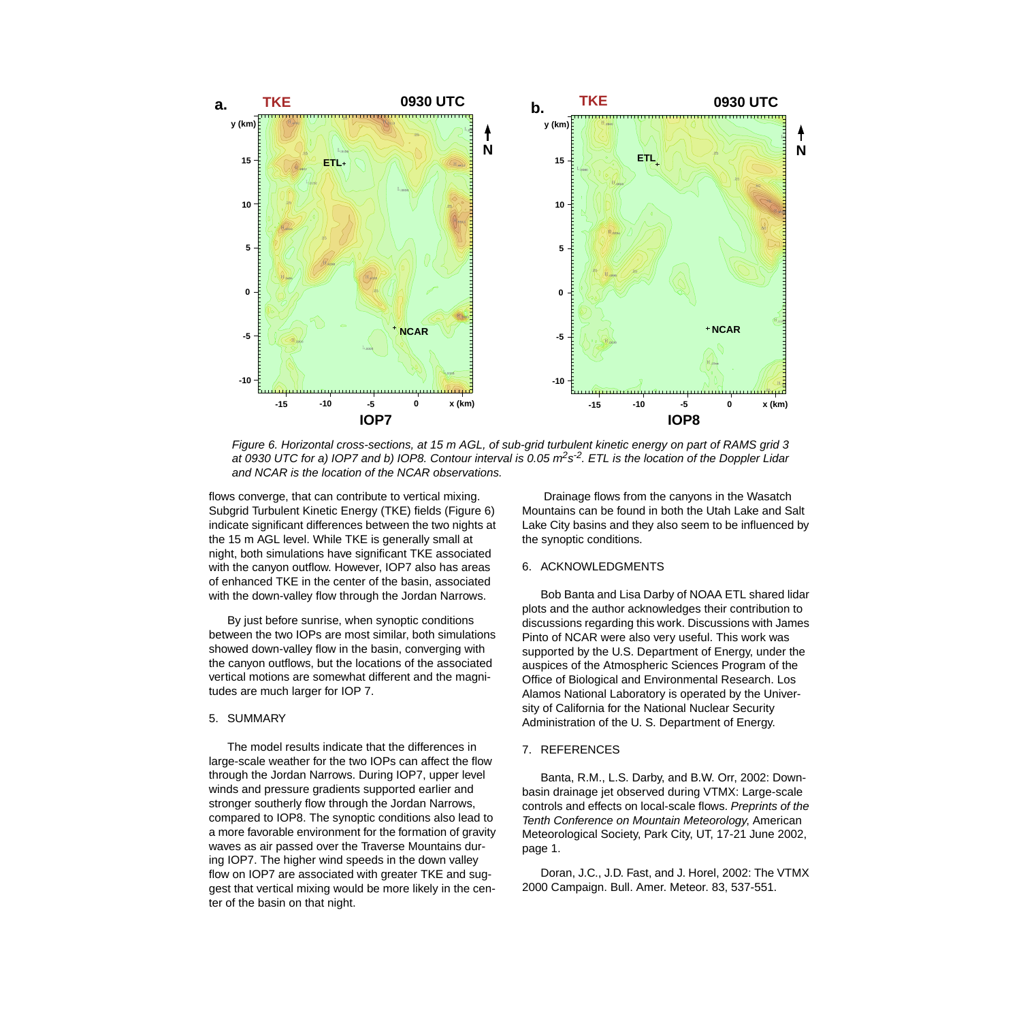

Figure 6. Horizontal cross-sections, at 15 m AGL, of sub-grid turbulent kinetic energy on part of RAMS grid 3 at 0930 UTC for a) IOP7 and b) IOP8. Contour interval is 0.05  $m^2s^2$ . ETL is the location of the Doppler Lidar and NCAR is the location of the NCAR observations.

flows converge, that can contribute to vertical mixing. Subgrid Turbulent Kinetic Energy (TKE) fields (Figure 6) indicate significant differences between the two nights at the 15 m AGL level. While TKE is generally small at night, both simulations have significant TKE associated with the canyon outflow. However, IOP7 also has areas of enhanced TKE in the center of the basin, associated with the down-valley flow through the Jordan Narrows.

By just before sunrise, when synoptic conditions between the two IOPs are most similar, both simulations showed down-valley flow in the basin, converging with the canyon outflows, but the locations of the associated vertical motions are somewhat different and the magnitudes are much larger for IOP 7.

#### 5. SUMMARY

The model results indicate that the differences in large-scale weather for the two IOPs can affect the flow through the Jordan Narrows. During IOP7, upper level winds and pressure gradients supported earlier and stronger southerly flow through the Jordan Narrows, compared to IOP8. The synoptic conditions also lead to a more favorable environment for the formation of gravity waves as air passed over the Traverse Mountains during IOP7. The higher wind speeds in the down valley flow on IOP7 are associated with greater TKE and suggest that vertical mixing would be more likely in the center of the basin on that night.

 Drainage flows from the canyons in the Wasatch Mountains can be found in both the Utah Lake and Salt Lake City basins and they also seem to be influenced by the synoptic conditions.

# 6. ACKNOWLEDGMENTS

Bob Banta and Lisa Darby of NOAA ETL shared lidar plots and the author acknowledges their contribution to discussions regarding this work. Discussions with James Pinto of NCAR were also very useful. This work was supported by the U.S. Department of Energy, under the auspices of the Atmospheric Sciences Program of the Office of Biological and Environmental Research. Los Alamos National Laboratory is operated by the University of California for the National Nuclear Security Administration of the U. S. Department of Energy.

## 7. REFERENCES

Banta, R.M., L.S. Darby, and B.W. Orr, 2002: Downbasin drainage jet observed during VTMX: Large-scale controls and effects on local-scale flows. Preprints of the Tenth Conference on Mountain Meteorology, American Meteorological Society, Park City, UT, 17-21 June 2002, page 1.

Doran, J.C., J.D. Fast, and J. Horel, 2002: The VTMX 2000 Campaign. Bull. Amer. Meteor. 83, 537-551.